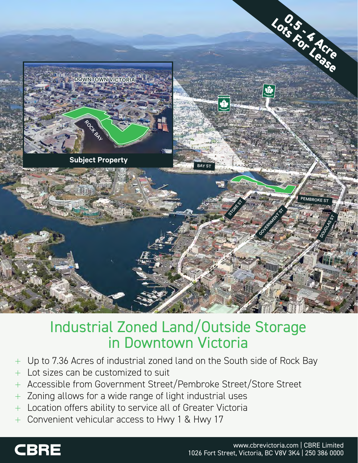

# Industrial Zoned Land/Outside Storage in Downtown Victoria

- + Up to 7.36 Acres of industrial zoned land on the South side of Rock Bay
- + Lot sizes can be customized to suit
- + Accessible from Government Street/Pembroke Street/Store Street
- + Zoning allows for a wide range of light industrial uses
- + Location offers ability to service all of Greater Victoria
- + Convenient vehicular access to Hwy 1 & Hwy 17

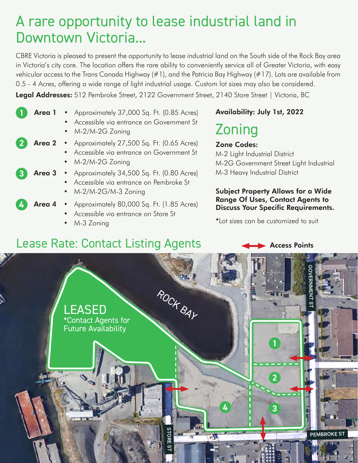# A rare opportunity to lease industrial land in Downtown Victoria...

CBRE Victoria is pleased to present the opportunity to lease industrial land on the South side of the Rock Bay area in Victoria's city core. The location offers the rare ability to conveniently service all of Greater Victoria, with easy vehicular access to the Trans Canada Highway (#1), and the Patricia Bay Highway (#17). Lots are available from 0.5 - 4 Acres, offering a wide range of light industrial usage. Custom lot sizes may also be considered.

Legal Addresses: 512 Pembroke Street, 2122 Government Street, 2140 Store Street | Victoria, BC

| Area 1 | • Approximately 37,000 Sq. Ft. (0.85 Acres)<br>Accessible via entrance on Government St<br>$\bullet$<br>$\bullet$ M-2/M-2G Zoning |
|--------|-----------------------------------------------------------------------------------------------------------------------------------|
|        | Area 2 • Approximately 27,500 Sq. Ft. (0.65 Acres)<br>Accessible via entrance on Government St<br>$\bullet$ M-2/M-2G Zoning       |
|        | <b>Area 3</b> • Approximately $34,500$ Sq. Ft. (0.80 Acres)<br>Accessible via entrance on Pembroke St<br>• $M-2/M-2G/M-3$ Zoning  |
|        | Area 4 • Approximately 80,000 Sq. Ft. (1.85 Acres)                                                                                |

- Accessible via entrance on Store St
- M-3 Zoning

### Availability: July 1st, 2022

# Zoning

#### Zone Codes:

M-2 Light Industrial District M-2G Government Street Light Industrial M-3 Heavy Industrial District

#### Subject Property Allows for a Wide Range Of Uses, Contact Agents to Discuss Your Specific Requirements.

\*Lot sizes can be customized to suit

## Lease Rate: Contact Listing Agents **Access Points**